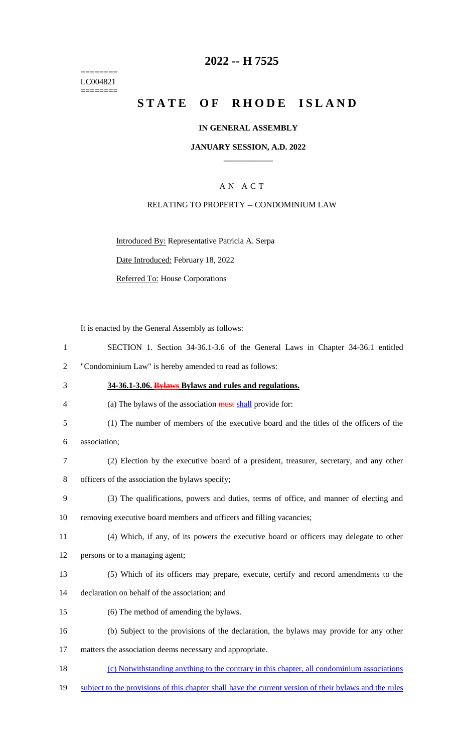======== LC004821 ========

## **2022 -- H 7525**

# **STATE OF RHODE ISLAND**

#### **IN GENERAL ASSEMBLY**

#### **JANUARY SESSION, A.D. 2022 \_\_\_\_\_\_\_\_\_\_\_\_**

## A N A C T

#### RELATING TO PROPERTY -- CONDOMINIUM LAW

Introduced By: Representative Patricia A. Serpa

Date Introduced: February 18, 2022

Referred To: House Corporations

It is enacted by the General Assembly as follows:

- 1 SECTION 1. Section 34-36.1-3.6 of the General Laws in Chapter 34-36.1 entitled
- 2 "Condominium Law" is hereby amended to read as follows:
- 3 **34-36.1-3.06. Bylaws Bylaws and rules and regulations.**

4 (a) The bylaws of the association must shall provide for:

5 (1) The number of members of the executive board and the titles of the officers of the

6 association;

- 7 (2) Election by the executive board of a president, treasurer, secretary, and any other 8 officers of the association the bylaws specify;
- 9 (3) The qualifications, powers and duties, terms of office, and manner of electing and
- 10 removing executive board members and officers and filling vacancies;
- 11 (4) Which, if any, of its powers the executive board or officers may delegate to other

12 persons or to a managing agent;

- 13 (5) Which of its officers may prepare, execute, certify and record amendments to the
- 14 declaration on behalf of the association; and
- 15 (6) The method of amending the bylaws.
- 16 (b) Subject to the provisions of the declaration, the bylaws may provide for any other

17 matters the association deems necessary and appropriate.

- 18 (c) Notwithstanding anything to the contrary in this chapter, all condominium associations
- 19 subject to the provisions of this chapter shall have the current version of their bylaws and the rules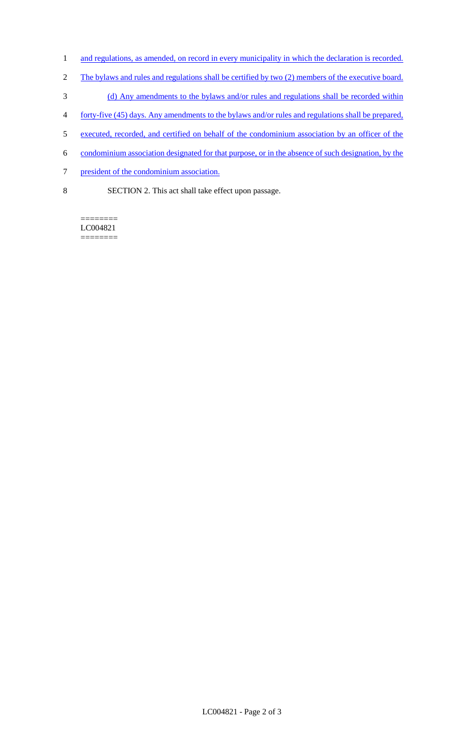- 1 and regulations, as amended, on record in every municipality in which the declaration is recorded.
- 2 The bylaws and rules and regulations shall be certified by two (2) members of the executive board.
- 3 (d) Any amendments to the bylaws and/or rules and regulations shall be recorded within
- 4 forty-five (45) days. Any amendments to the bylaws and/or rules and regulations shall be prepared,
- 5 executed, recorded, and certified on behalf of the condominium association by an officer of the
- 6 condominium association designated for that purpose, or in the absence of such designation, by the
- 7 president of the condominium association.
- 8 SECTION 2. This act shall take effect upon passage.

======== LC004821 ========